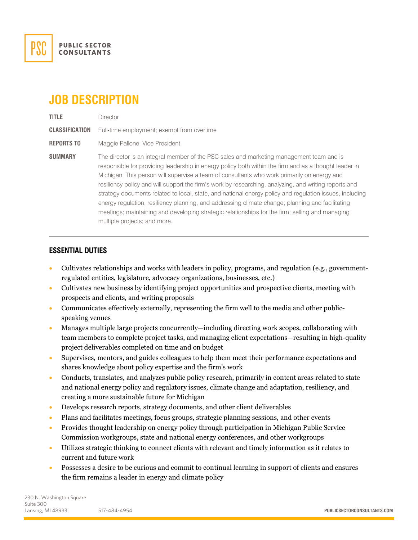

# **JOB DESCRIPTION**

**TITLE** Director **CLASSIFICATION** Full-time employment; exempt from overtime **REPORTS TO** Maggie Pallone, Vice President **SUMMARY** The director is an integral member of the PSC sales and marketing management team and is responsible for providing leadership in energy policy both within the firm and as a thought leader in Michigan. This person will supervise a team of consultants who work primarily on energy and resiliency policy and will support the firm's work by researching, analyzing, and writing reports and strategy documents related to local, state, and national energy policy and regulation issues, including energy regulation, resiliency planning, and addressing climate change; planning and facilitating meetings; maintaining and developing strategic relationships for the firm; selling and managing multiple projects; and more.

# **ESSENTIAL DUTIES**

- Cultivates relationships and works with leaders in policy, programs, and regulation (e.g., governmentregulated entities, legislature, advocacy organizations, businesses, etc.)
- Cultivates new business by identifying project opportunities and prospective clients, meeting with prospects and clients, and writing proposals
- Communicates effectively externally, representing the firm well to the media and other publicspeaking venues
- Manages multiple large projects concurrently—including directing work scopes, collaborating with team members to complete project tasks, and managing client expectations—resulting in high-quality project deliverables completed on time and on budget
- Supervises, mentors, and guides colleagues to help them meet their performance expectations and shares knowledge about policy expertise and the firm's work
- Conducts, translates, and analyzes public policy research, primarily in content areas related to state and national energy policy and regulatory issues, climate change and adaptation, resiliency, and creating a more sustainable future for Michigan
- Develops research reports, strategy documents, and other client deliverables
- Plans and facilitates meetings, focus groups, strategic planning sessions, and other events
- Provides thought leadership on energy policy through participation in Michigan Public Service Commission workgroups, state and national energy conferences, and other workgroups
- Utilizes strategic thinking to connect clients with relevant and timely information as it relates to current and future work
- Possesses a desire to be curious and commit to continual learning in support of clients and ensures the firm remains a leader in energy and climate policy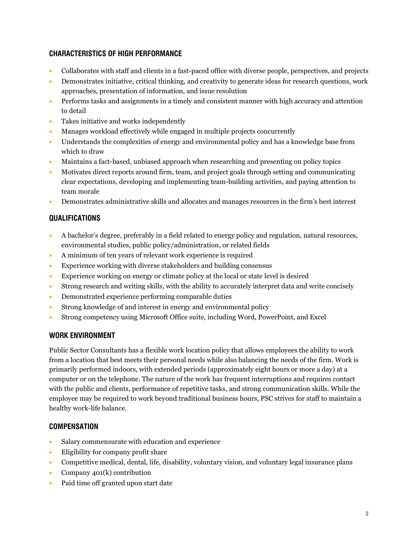# **CHARACTERISTICS OF HIGH PERFORMANCE**

- Collaborates with staff and clients in a fast-paced office with diverse people, perspectives, and projects
- Demonstrates initiative, critical thinking, and creativity to generate ideas for research questions, work approaches, presentation of information, and issue resolution
- Performs tasks and assignments in a timely and consistent manner with high accuracy and attention to detail
- Takes initiative and works independently
- Manages workload effectively while engaged in multiple projects concurrently
- Understands the complexities of energy and environmental policy and has a knowledge base from which to draw
- Maintains a fact-based, unbiased approach when researching and presenting on policy topics
- Motivates direct reports around firm, team, and project goals through setting and communicating clear expectations, developing and implementing team-building activities, and paying attention to team morale
- Demonstrates administrative skills and allocates and manages resources in the firm's best interest

# **QUALIFICATIONS**

- A bachelor's degree, preferably in a field related to energy policy and regulation, natural resources, environmental studies, public policy/administration, or related fields
- A minimum of ten years of relevant work experience is required
- Experience working with diverse stakeholders and building consensus
- Experience working on energy or climate policy at the local or state level is desired
- Strong research and writing skills, with the ability to accurately interpret data and write concisely
- Demonstrated experience performing comparable duties
- Strong knowledge of and interest in energy and environmental policy
- Strong competency using Microsoft Office suite, including Word, PowerPoint, and Excel

# **WORK ENVIRONMENT**

Public Sector Consultants has a flexible work location policy that allows employees the ability to work from a location that best meets their personal needs while also balancing the needs of the firm. Work is primarily performed indoors, with extended periods (approximately eight hours or more a day) at a computer or on the telephone. The nature of the work has frequent interruptions and requires contact with the public and clients, performance of repetitive tasks, and strong communication skills. While the employee may be required to work beyond traditional business hours, PSC strives for staff to maintain a healthy work-life balance.

# **COMPENSATION**

- Salary commensurate with education and experience
- Eligibility for company profit share
- Competitive medical, dental, life, disability, voluntary vision, and voluntary legal insurance plans
- Company 401(k) contribution
- Paid time off granted upon start date